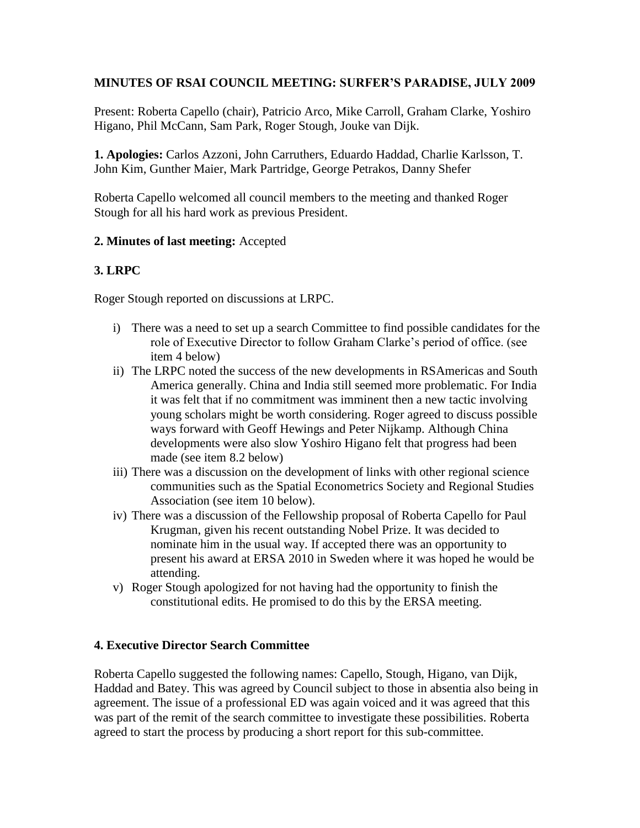## **MINUTES OF RSAI COUNCIL MEETING: SURFER'S PARADISE, JULY 2009**

Present: Roberta Capello (chair), Patricio Arco, Mike Carroll, Graham Clarke, Yoshiro Higano, Phil McCann, Sam Park, Roger Stough, Jouke van Dijk.

**1. Apologies:** Carlos Azzoni, John Carruthers, Eduardo Haddad, Charlie Karlsson, T. John Kim, Gunther Maier, Mark Partridge, George Petrakos, Danny Shefer

Roberta Capello welcomed all council members to the meeting and thanked Roger Stough for all his hard work as previous President.

#### **2. Minutes of last meeting:** Accepted

## **3. LRPC**

Roger Stough reported on discussions at LRPC.

- i) There was a need to set up a search Committee to find possible candidates for the role of Executive Director to follow Graham Clarke's period of office. (see item 4 below)
- ii) The LRPC noted the success of the new developments in RSAmericas and South America generally. China and India still seemed more problematic. For India it was felt that if no commitment was imminent then a new tactic involving young scholars might be worth considering. Roger agreed to discuss possible ways forward with Geoff Hewings and Peter Nijkamp. Although China developments were also slow Yoshiro Higano felt that progress had been made (see item 8.2 below)
- iii) There was a discussion on the development of links with other regional science communities such as the Spatial Econometrics Society and Regional Studies Association (see item 10 below).
- iv) There was a discussion of the Fellowship proposal of Roberta Capello for Paul Krugman, given his recent outstanding Nobel Prize. It was decided to nominate him in the usual way. If accepted there was an opportunity to present his award at ERSA 2010 in Sweden where it was hoped he would be attending.
- v) Roger Stough apologized for not having had the opportunity to finish the constitutional edits. He promised to do this by the ERSA meeting.

#### **4. Executive Director Search Committee**

Roberta Capello suggested the following names: Capello, Stough, Higano, van Dijk, Haddad and Batey. This was agreed by Council subject to those in absentia also being in agreement. The issue of a professional ED was again voiced and it was agreed that this was part of the remit of the search committee to investigate these possibilities. Roberta agreed to start the process by producing a short report for this sub-committee.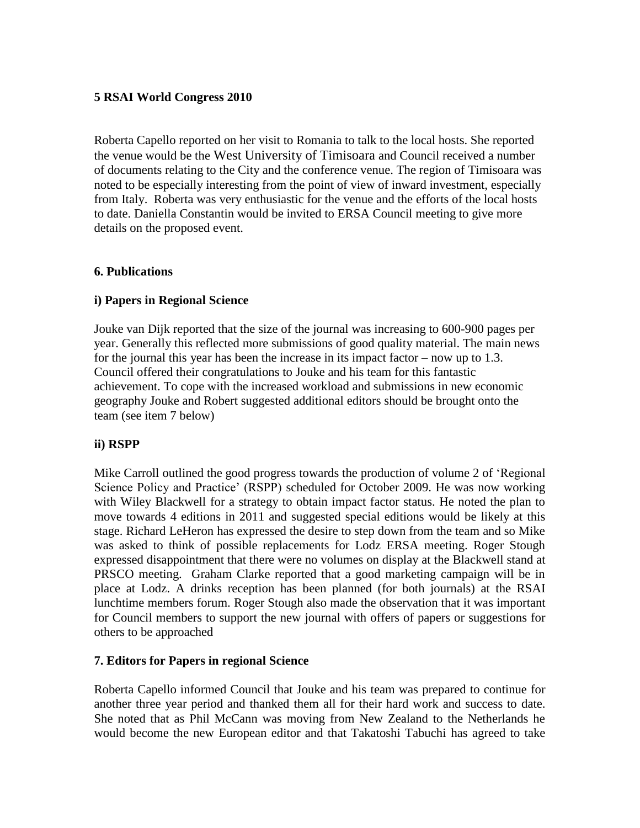#### **5 RSAI World Congress 2010**

Roberta Capello reported on her visit to Romania to talk to the local hosts. She reported the venue would be the West University of Timisoara and Council received a number of documents relating to the City and the conference venue. The region of Timisoara was noted to be especially interesting from the point of view of inward investment, especially from Italy. Roberta was very enthusiastic for the venue and the efforts of the local hosts to date. Daniella Constantin would be invited to ERSA Council meeting to give more details on the proposed event.

#### **6. Publications**

#### **i) Papers in Regional Science**

Jouke van Dijk reported that the size of the journal was increasing to 600-900 pages per year. Generally this reflected more submissions of good quality material. The main news for the journal this year has been the increase in its impact factor – now up to 1.3. Council offered their congratulations to Jouke and his team for this fantastic achievement. To cope with the increased workload and submissions in new economic geography Jouke and Robert suggested additional editors should be brought onto the team (see item 7 below)

## **ii) RSPP**

Mike Carroll outlined the good progress towards the production of volume 2 of 'Regional Science Policy and Practice' (RSPP) scheduled for October 2009. He was now working with Wiley Blackwell for a strategy to obtain impact factor status. He noted the plan to move towards 4 editions in 2011 and suggested special editions would be likely at this stage. Richard LeHeron has expressed the desire to step down from the team and so Mike was asked to think of possible replacements for Lodz ERSA meeting. Roger Stough expressed disappointment that there were no volumes on display at the Blackwell stand at PRSCO meeting. Graham Clarke reported that a good marketing campaign will be in place at Lodz. A drinks reception has been planned (for both journals) at the RSAI lunchtime members forum. Roger Stough also made the observation that it was important for Council members to support the new journal with offers of papers or suggestions for others to be approached

#### **7. Editors for Papers in regional Science**

Roberta Capello informed Council that Jouke and his team was prepared to continue for another three year period and thanked them all for their hard work and success to date. She noted that as Phil McCann was moving from New Zealand to the Netherlands he would become the new European editor and that Takatoshi Tabuchi has agreed to take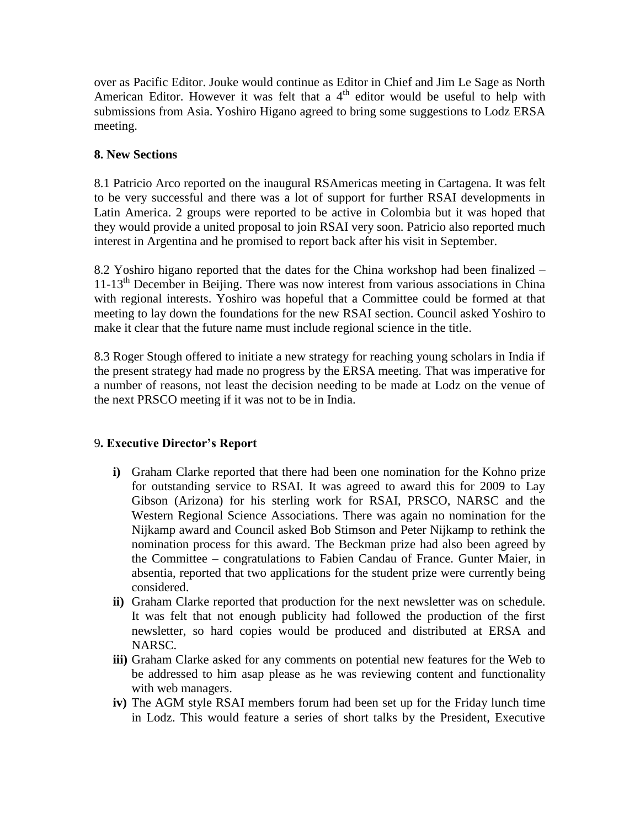over as Pacific Editor. Jouke would continue as Editor in Chief and Jim Le Sage as North American Editor. However it was felt that a  $4<sup>th</sup>$  editor would be useful to help with submissions from Asia. Yoshiro Higano agreed to bring some suggestions to Lodz ERSA meeting.

## **8. New Sections**

8.1 Patricio Arco reported on the inaugural RSAmericas meeting in Cartagena. It was felt to be very successful and there was a lot of support for further RSAI developments in Latin America. 2 groups were reported to be active in Colombia but it was hoped that they would provide a united proposal to join RSAI very soon. Patricio also reported much interest in Argentina and he promised to report back after his visit in September.

8.2 Yoshiro higano reported that the dates for the China workshop had been finalized –  $11-13<sup>th</sup>$  December in Beijing. There was now interest from various associations in China with regional interests. Yoshiro was hopeful that a Committee could be formed at that meeting to lay down the foundations for the new RSAI section. Council asked Yoshiro to make it clear that the future name must include regional science in the title.

8.3 Roger Stough offered to initiate a new strategy for reaching young scholars in India if the present strategy had made no progress by the ERSA meeting. That was imperative for a number of reasons, not least the decision needing to be made at Lodz on the venue of the next PRSCO meeting if it was not to be in India.

## 9**. Executive Director's Report**

- **i)** Graham Clarke reported that there had been one nomination for the Kohno prize for outstanding service to RSAI. It was agreed to award this for 2009 to Lay Gibson (Arizona) for his sterling work for RSAI, PRSCO, NARSC and the Western Regional Science Associations. There was again no nomination for the Nijkamp award and Council asked Bob Stimson and Peter Nijkamp to rethink the nomination process for this award. The Beckman prize had also been agreed by the Committee – congratulations to Fabien Candau of France. Gunter Maier, in absentia, reported that two applications for the student prize were currently being considered.
- **ii)** Graham Clarke reported that production for the next newsletter was on schedule. It was felt that not enough publicity had followed the production of the first newsletter, so hard copies would be produced and distributed at ERSA and NARSC.
- **iii)** Graham Clarke asked for any comments on potential new features for the Web to be addressed to him asap please as he was reviewing content and functionality with web managers.
- **iv)** The AGM style RSAI members forum had been set up for the Friday lunch time in Lodz. This would feature a series of short talks by the President, Executive